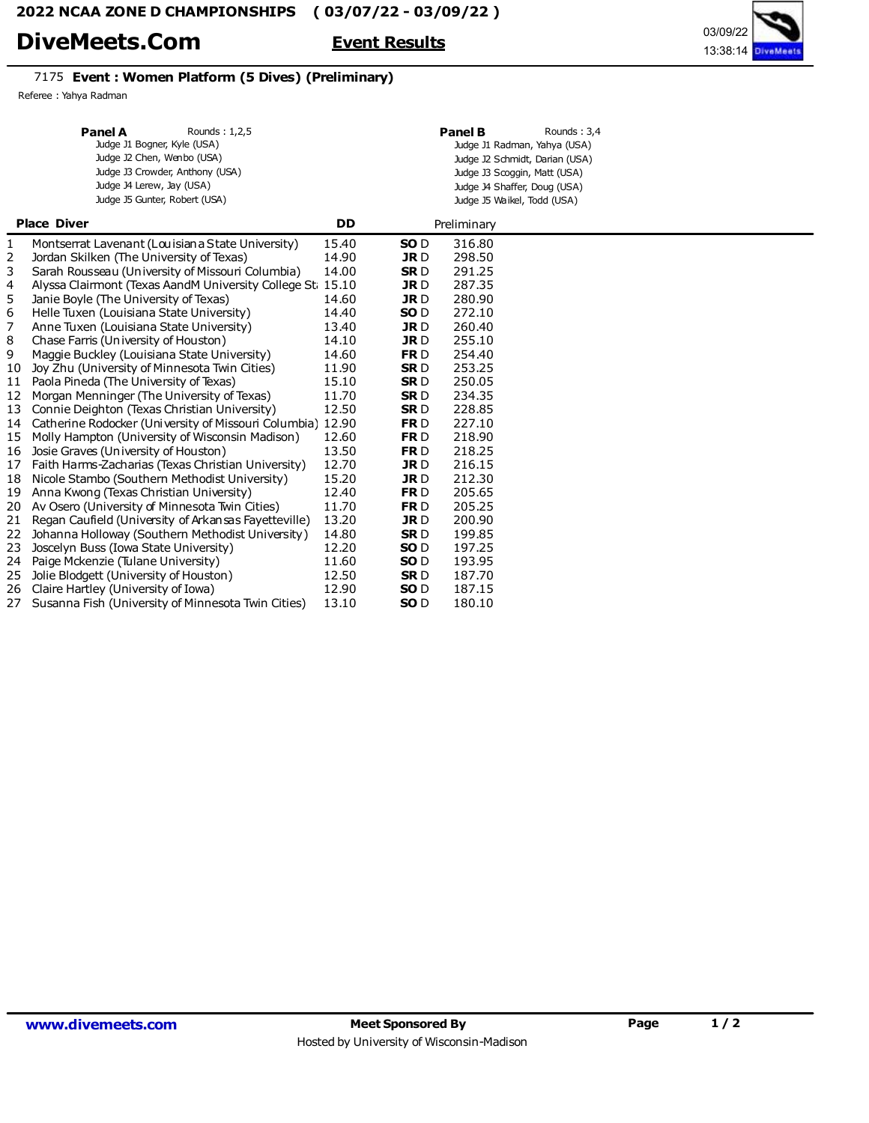# DiveMeets.Com Event Results

## 7175 Event : Women Platform (5 Dives) (Preliminary)

Referee : Yahya Radman

|                    | <b>Panel A</b><br>Rounds: 1,2,5<br>Judge J1 Bogner, Kyle (USA)<br>Judge J2 Chen, Wenbo (USA)<br>Judge J3 Crowder, Anthony (USA)<br>Judge J4 Lerew, Jay (USA)<br>Judge J5 Gunter, Robert (USA) |           | <b>Panel B</b><br>Rounds: 3,4<br>Judge J1 Radman, Yahya (USA)<br>Judge J2 Schmidt, Darian (USA)<br>Judge J3 Scoggin, Matt (USA)<br>Judge J4 Shaffer, Doug (USA)<br>Judge J5 Waikel, Todd (USA) |             |  |  |  |  |
|--------------------|-----------------------------------------------------------------------------------------------------------------------------------------------------------------------------------------------|-----------|------------------------------------------------------------------------------------------------------------------------------------------------------------------------------------------------|-------------|--|--|--|--|
| <b>Place Diver</b> |                                                                                                                                                                                               | <b>DD</b> |                                                                                                                                                                                                | Preliminary |  |  |  |  |
| 1                  | Montserrat Lavenant (Louisian a State University)                                                                                                                                             | 15.40     | SO <sub>D</sub>                                                                                                                                                                                | 316.80      |  |  |  |  |
| 2                  | Jordan Skilken (The University of Texas)                                                                                                                                                      | 14.90     | <b>JRD</b>                                                                                                                                                                                     | 298.50      |  |  |  |  |
| 3                  | Sarah Rousseau (University of Missouri Columbia)                                                                                                                                              | 14.00     | <b>SRD</b>                                                                                                                                                                                     | 291.25      |  |  |  |  |
| 4                  | Alyssa Clairmont (Texas AandM University College St. 15.10)                                                                                                                                   |           | <b>JRD</b>                                                                                                                                                                                     | 287.35      |  |  |  |  |
| 5                  | Janie Boyle (The University of Texas)                                                                                                                                                         | 14.60     | <b>JRD</b>                                                                                                                                                                                     | 280.90      |  |  |  |  |
| 6                  | Helle Tuxen (Louisiana State University)                                                                                                                                                      | 14.40     | SO <sub>D</sub>                                                                                                                                                                                | 272.10      |  |  |  |  |
| 7                  | Anne Tuxen (Louisiana State University)                                                                                                                                                       | 13.40     | <b>JRD</b>                                                                                                                                                                                     | 260.40      |  |  |  |  |
| 8                  | Chase Farris (University of Houston)                                                                                                                                                          | 14.10     | <b>JRD</b>                                                                                                                                                                                     | 255.10      |  |  |  |  |
| 9                  | Maggie Buckley (Louisiana State University)                                                                                                                                                   | 14.60     | FR <sub>D</sub>                                                                                                                                                                                | 254.40      |  |  |  |  |
| 10                 | Joy Zhu (University of Minnesota Twin Cities)                                                                                                                                                 | 11.90     | <b>SRD</b>                                                                                                                                                                                     | 253.25      |  |  |  |  |
| 11                 | Paola Pineda (The University of Texas)                                                                                                                                                        | 15.10     | <b>SRD</b>                                                                                                                                                                                     | 250.05      |  |  |  |  |
| 12                 | Morgan Menninger (The University of Texas)                                                                                                                                                    | 11.70     | <b>SRD</b>                                                                                                                                                                                     | 234.35      |  |  |  |  |
| 13                 | Connie Deighton (Texas Christian University)                                                                                                                                                  | 12.50     | <b>SRD</b>                                                                                                                                                                                     | 228.85      |  |  |  |  |
| 14                 | Catherine Rodocker (University of Missouri Columbia) 12.90                                                                                                                                    |           | FR <sub>D</sub>                                                                                                                                                                                | 227.10      |  |  |  |  |
| 15                 | Molly Hampton (University of Wisconsin Madison)                                                                                                                                               | 12.60     | FR <sub>D</sub>                                                                                                                                                                                | 218.90      |  |  |  |  |
| 16                 | Josie Graves (University of Houston)                                                                                                                                                          | 13.50     | FR <sub>D</sub>                                                                                                                                                                                | 218.25      |  |  |  |  |
| 17                 | Faith Harms-Zacharias (Texas Christian University)                                                                                                                                            | 12.70     | <b>JRD</b>                                                                                                                                                                                     | 216.15      |  |  |  |  |
| 18                 | Nicole Stambo (Southern Methodist University)                                                                                                                                                 | 15.20     | <b>JRD</b>                                                                                                                                                                                     | 212.30      |  |  |  |  |
| 19                 | Anna Kwong (Texas Christian University)                                                                                                                                                       | 12.40     | FR <sub>D</sub>                                                                                                                                                                                | 205.65      |  |  |  |  |
| 20                 | Av Osero (University of Minnesota Twin Cities)                                                                                                                                                | 11.70     | FR <sub>D</sub>                                                                                                                                                                                | 205.25      |  |  |  |  |
| 21                 | Regan Caufield (University of Arkansas Fayetteville)                                                                                                                                          | 13.20     | <b>JRD</b>                                                                                                                                                                                     | 200.90      |  |  |  |  |
| 22                 | Johanna Holloway (Southern Methodist University)                                                                                                                                              | 14.80     | <b>SRD</b>                                                                                                                                                                                     | 199.85      |  |  |  |  |
| 23                 | Joscelyn Buss (Iowa State University)                                                                                                                                                         | 12.20     | SO <sub>D</sub>                                                                                                                                                                                | 197.25      |  |  |  |  |
| 24                 | Paige Mckenzie (Tulane University)                                                                                                                                                            | 11.60     | SO <sub>D</sub>                                                                                                                                                                                | 193.95      |  |  |  |  |
| 25                 | Jolie Blodgett (University of Houston)                                                                                                                                                        | 12.50     | <b>SRD</b>                                                                                                                                                                                     | 187.70      |  |  |  |  |
| 26                 | Claire Hartley (University of Iowa)                                                                                                                                                           | 12.90     | SO <sub>D</sub>                                                                                                                                                                                | 187.15      |  |  |  |  |
| 27                 | Susanna Fish (University of Minnesota Twin Cities)                                                                                                                                            | 13.10     | SO <sub>D</sub>                                                                                                                                                                                | 180.10      |  |  |  |  |

13:38:14 03/09/22

DiveMeet